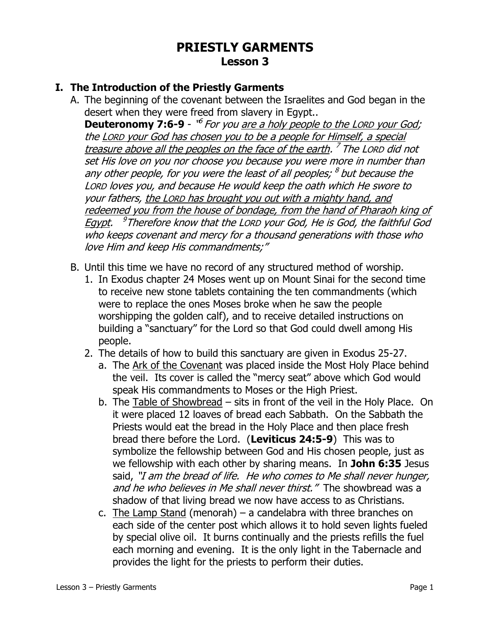# **PRIESTLY GARMENTS Lesson 3**

## **I. The Introduction of the Priestly Garments**

A. The beginning of the covenant between the Israelites and God began in the desert when they were freed from slavery in Egypt..

**Deuteronomy 7:6-9** - "<sup>6</sup> For you <u>are a holy people to the LORD your God</u>; the LORD your God has chosen you to be a people for Himself, a special treasure above all the peoples on the face of the earth. <sup>7</sup> The Lorp did not set His love on you nor choose you because you were more in number than any other people, for you were the least of all peoples; <sup>8</sup> but because the LORD loves you, and because He would keep the oath which He swore to your fathers, the LORD has brought you out with a mighty hand, and redeemed you from the house of bondage, from the hand of Pharaoh king of <u>Egypt</u>. <sup>9</sup>Therefore know that the Lorp your God, He is God, the faithful God who keeps covenant and mercy for a thousand generations with those who love Him and keep His commandments;"

- B. Until this time we have no record of any structured method of worship.
	- 1. In Exodus chapter 24 Moses went up on Mount Sinai for the second time to receive new stone tablets containing the ten commandments (which were to replace the ones Moses broke when he saw the people worshipping the golden calf), and to receive detailed instructions on building a "sanctuary" for the Lord so that God could dwell among His people.
	- 2. The details of how to build this sanctuary are given in Exodus 25-27.
		- a. The Ark of the Covenant was placed inside the Most Holy Place behind the veil. Its cover is called the "mercy seat" above which God would speak His commandments to Moses or the High Priest.
		- b. The Table of Showbread sits in front of the veil in the Holy Place. On it were placed 12 loaves of bread each Sabbath. On the Sabbath the Priests would eat the bread in the Holy Place and then place fresh bread there before the Lord. (**Leviticus 24:5-9**) This was to symbolize the fellowship between God and His chosen people, just as we fellowship with each other by sharing means. In **John 6:35** Jesus said, "I am the bread of life. He who comes to Me shall never hunger, and he who believes in Me shall never thirst." The showbread was a shadow of that living bread we now have access to as Christians.
		- c. The Lamp Stand (menorah) a candelabra with three branches on each side of the center post which allows it to hold seven lights fueled by special olive oil. It burns continually and the priests refills the fuel each morning and evening. It is the only light in the Tabernacle and provides the light for the priests to perform their duties.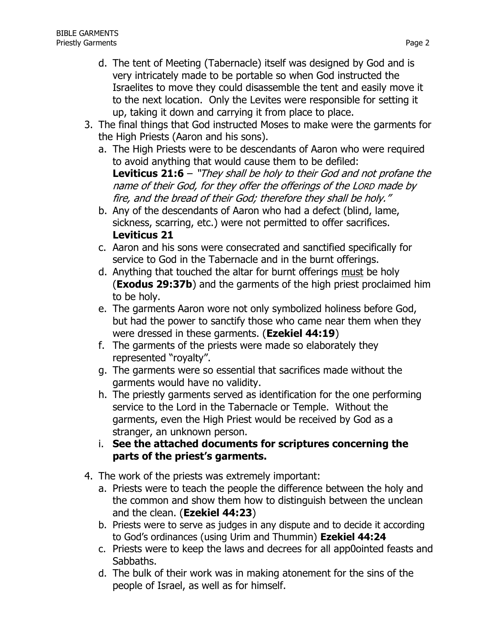- d. The tent of Meeting (Tabernacle) itself was designed by God and is very intricately made to be portable so when God instructed the Israelites to move they could disassemble the tent and easily move it to the next location. Only the Levites were responsible for setting it up, taking it down and carrying it from place to place.
- 3. The final things that God instructed Moses to make were the garments for the High Priests (Aaron and his sons).
	- a. The High Priests were to be descendants of Aaron who were required to avoid anything that would cause them to be defiled: **Leviticus 21:6** – "They shall be holy to their God and not profane the name of their God, for they offer the offerings of the LORD made by fire, and the bread of their God; therefore they shall be holy."
	- b. Any of the descendants of Aaron who had a defect (blind, lame, sickness, scarring, etc.) were not permitted to offer sacrifices. **Leviticus 21**
	- c. Aaron and his sons were consecrated and sanctified specifically for service to God in the Tabernacle and in the burnt offerings.
	- d. Anything that touched the altar for burnt offerings must be holy (**Exodus 29:37b**) and the garments of the high priest proclaimed him to be holy.
	- e. The garments Aaron wore not only symbolized holiness before God, but had the power to sanctify those who came near them when they were dressed in these garments. (**Ezekiel 44:19**)
	- f. The garments of the priests were made so elaborately they represented "royalty".
	- g. The garments were so essential that sacrifices made without the garments would have no validity.
	- h. The priestly garments served as identification for the one performing service to the Lord in the Tabernacle or Temple. Without the garments, even the High Priest would be received by God as a stranger, an unknown person.
	- i. **See the attached documents for scriptures concerning the parts of the priest's garments.**
- 4. The work of the priests was extremely important:
	- a. Priests were to teach the people the difference between the holy and the common and show them how to distinguish between the unclean and the clean. (**Ezekiel 44:23**)
	- b. Priests were to serve as judges in any dispute and to decide it according to God's ordinances (using Urim and Thummin) **Ezekiel 44:24**
	- c. Priests were to keep the laws and decrees for all app0ointed feasts and Sabbaths.
	- d. The bulk of their work was in making atonement for the sins of the people of Israel, as well as for himself.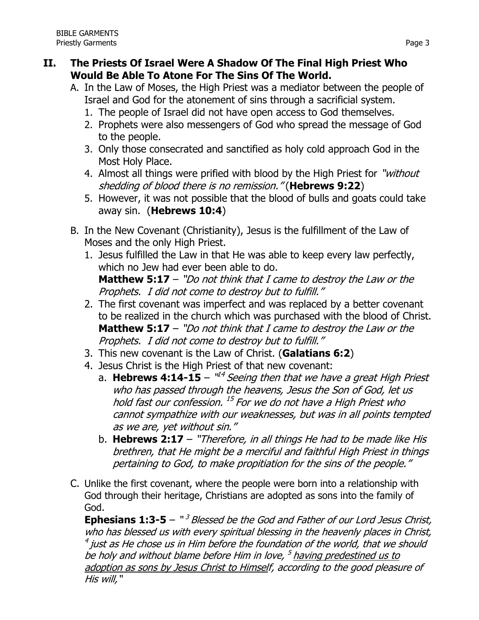## **II. The Priests Of Israel Were A Shadow Of The Final High Priest Who Would Be Able To Atone For The Sins Of The World.**

- A. In the Law of Moses, the High Priest was a mediator between the people of Israel and God for the atonement of sins through a sacrificial system.
	- 1. The people of Israel did not have open access to God themselves.
	- 2. Prophets were also messengers of God who spread the message of God to the people.
	- 3. Only those consecrated and sanctified as holy cold approach God in the Most Holy Place.
	- 4. Almost all things were prified with blood by the High Priest for "without" shedding of blood there is no remission." (**Hebrews 9:22**)
	- 5. However, it was not possible that the blood of bulls and goats could take away sin. (**Hebrews 10:4**)
- B. In the New Covenant (Christianity), Jesus is the fulfillment of the Law of Moses and the only High Priest.
	- 1. Jesus fulfilled the Law in that He was able to keep every law perfectly, which no Jew had ever been able to do. **Matthew 5:17** – "Do not think that I came to destroy the Law or the Prophets. I did not come to destroy but to fulfill."
	- 2. The first covenant was imperfect and was replaced by a better covenant to be realized in the church which was purchased with the blood of Christ. **Matthew 5:17** – "Do not think that I came to destroy the Law or the Prophets. I did not come to destroy but to fulfill."
	- 3. This new covenant is the Law of Christ. (**Galatians 6:2**)
	- 4. Jesus Christ is the High Priest of that new covenant:
		- a. Hebrews 4:14-15 "<sup>14</sup> Seeing then that we have a great High Priest who has passed through the heavens, Jesus the Son of God, let us hold fast our confession. <sup>15</sup> For we do not have a High Priest who cannot sympathize with our weaknesses, but was in all points tempted as we are, yet without sin."
		- b. **Hebrews 2:17** "Therefore, in all things He had to be made like His brethren, that He might be a merciful and faithful High Priest in things pertaining to God, to make propitiation for the sins of the people."
- C. Unlike the first covenant, where the people were born into a relationship with God through their heritage, Christians are adopted as sons into the family of God.

**Ephesians 1:3-5** – "<sup>3</sup> Blessed be the God and Father of our Lord Jesus Christ, who has blessed us with every spiritual blessing in the heavenly places in Christ,  $^4$  just as He chose us in Him before the foundation of the world, that we should be holy and without blame before Him in love, <sup>5</sup> having predestined us to adoption as sons by Jesus Christ to Himself, according to the good pleasure of His will,"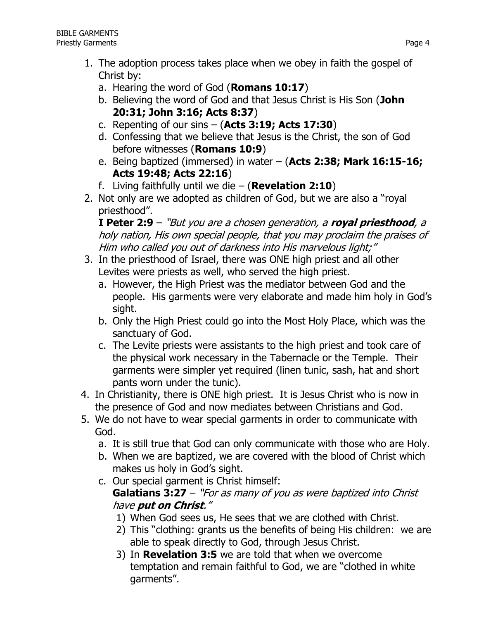- 1. The adoption process takes place when we obey in faith the gospel of Christ by:
	- a. Hearing the word of God (**Romans 10:17**)
	- b. Believing the word of God and that Jesus Christ is His Son (**John 20:31; John 3:16; Acts 8:37**)
	- c. Repenting of our sins (**Acts 3:19; Acts 17:30**)
	- d. Confessing that we believe that Jesus is the Christ, the son of God before witnesses (**Romans 10:9**)
	- e. Being baptized (immersed) in water (**Acts 2:38; Mark 16:15-16; Acts 19:48; Acts 22:16**)
	- f. Living faithfully until we die (**Revelation 2:10**)
- 2. Not only are we adopted as children of God, but we are also a "royal priesthood".

**I Peter 2:9** – "But you are a chosen generation, a **royal priesthood**, <sup>a</sup> holy nation, His own special people, that you may proclaim the praises of Him who called you out of darkness into His marvelous light;"

- 3. In the priesthood of Israel, there was ONE high priest and all other Levites were priests as well, who served the high priest.
	- a. However, the High Priest was the mediator between God and the people. His garments were very elaborate and made him holy in God's sight.
	- b. Only the High Priest could go into the Most Holy Place, which was the sanctuary of God.
	- c. The Levite priests were assistants to the high priest and took care of the physical work necessary in the Tabernacle or the Temple. Their garments were simpler yet required (linen tunic, sash, hat and short pants worn under the tunic).
- 4. In Christianity, there is ONE high priest. It is Jesus Christ who is now in the presence of God and now mediates between Christians and God.
- 5. We do not have to wear special garments in order to communicate with God.
	- a. It is still true that God can only communicate with those who are Holy.
	- b. When we are baptized, we are covered with the blood of Christ which makes us holy in God's sight.
	- c. Our special garment is Christ himself: **Galatians 3:27** – "For as many of you as were baptized into Christ have **put on Christ**."
		- 1) When God sees us, He sees that we are clothed with Christ.
		- 2) This "clothing: grants us the benefits of being His children: we are able to speak directly to God, through Jesus Christ.
		- 3) In **Revelation 3:5** we are told that when we overcome temptation and remain faithful to God, we are "clothed in white garments".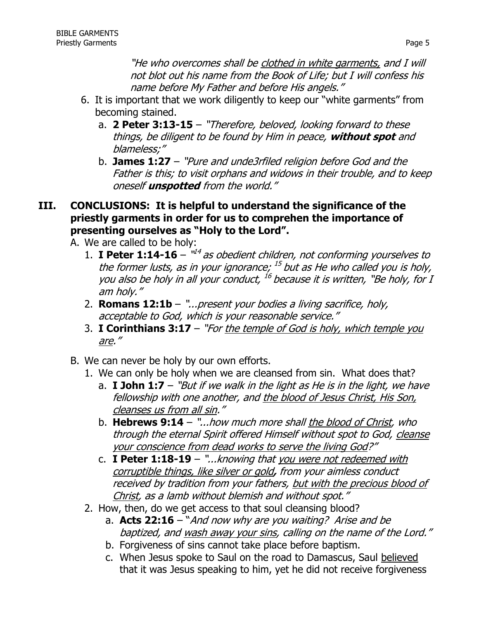"He who overcomes shall be clothed in white garments, and I will not blot out his name from the Book of Life; but I will confess his name before My Father and before His angels."

- 6. It is important that we work diligently to keep our "white garments" from becoming stained.
	- a. **2 Peter 3:13-15** "Therefore, beloved, looking forward to these things, be diligent to be found by Him in peace, **without spot** and blameless;"
	- b. **James 1:27** "Pure and unde3rfiled religion before God and the Father is this; to visit orphans and widows in their trouble, and to keep oneself **unspotted** from the world."

### **III. CONCLUSIONS: It is helpful to understand the significance of the priestly garments in order for us to comprehen the importance of presenting ourselves as "Holy to the Lord".**

A. We are called to be holy:

- 1. **I Peter 1:14-16**  $^{\mathit{u4}}$  as obedient children, not conforming yourselves to the former lusts, as in your ignorance; <sup>15</sup> but as He who called you is holy, you also be holy in all your conduct,  $^{16}$  because it is written, "Be holy, for I am holy."
- 2. **Romans 12:1b**  "...present your bodies a living sacrifice, holy, acceptable to God, which is your reasonable service."
- 3. **I Corinthians 3:17**  "For the temple of God is holy, which temple you are."
- B. We can never be holy by our own efforts.
	- 1. We can only be holy when we are cleansed from sin. What does that?
		- a. **I John 1:7** "But if we walk in the light as He is in the light, we have fellowship with one another, and the blood of Jesus Christ, His Son, cleanses us from all sin."
		- b. **Hebrews 9:14** "...how much more shall the blood of Christ, who through the eternal Spirit offered Himself without spot to God, cleanse your conscience from dead works to serve the living God?"
		- c. **I Peter 1:18-19** "...knowing that you were not redeemed with corruptible things, like silver or gold**,** from your aimless conduct received by tradition from your fathers, but with the precious blood of Christ, as a lamb without blemish and without spot."
	- 2. How, then, do we get access to that soul cleansing blood?
		- a. **Acts 22:16** "And now why are you waiting? Arise and be baptized, and wash away your sins, calling on the name of the Lord."
		- b. Forgiveness of sins cannot take place before baptism.
		- c. When Jesus spoke to Saul on the road to Damascus, Saul believed that it was Jesus speaking to him, yet he did not receive forgiveness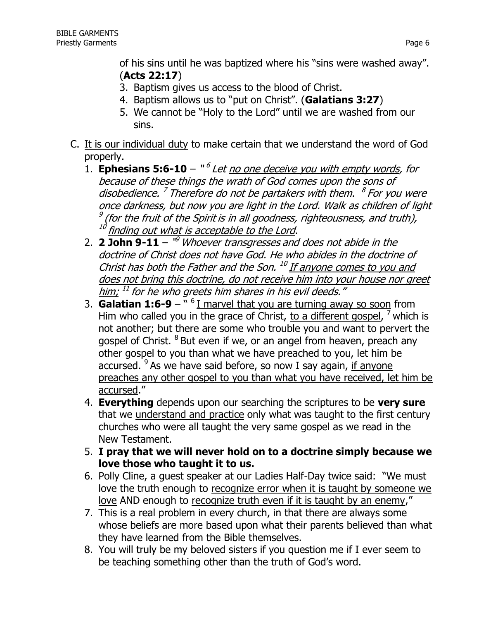of his sins until he was baptized where his "sins were washed away". (**Acts 22:17**)

- 3. Baptism gives us access to the blood of Christ.
- 4. Baptism allows us to "put on Christ". (**Galatians 3:27**)
- 5. We cannot be "Holy to the Lord" until we are washed from our sins.
- C. It is our individual duty to make certain that we understand the word of God properly.
	- 1. **Ephesians 5:6-10** "<sup>6</sup> Let <u>no one deceive you with empty words</u>, for because of these things the wrath of God comes upon the sons of disobedience.<sup>7</sup> Therefore do not be partakers with them. <sup>8</sup> For you were once darkness, but now you are light in the Lord. Walk as children of light  $\frac{9}{9}$  (for the fruit of the Spirit is in all goodness, righteousness, and truth),  $\frac{10}{10}$  finding out what is assemble to the l and finding out what is acceptable to the Lord.
	- 2. **2 John 9-11** " <sup>9</sup> Whoever transgresses and does not abide in the doctrine of Christ does not have God. He who abides in the doctrine of Christ has both the Father and the Son. <sup>10</sup> If anyone comes to you and does not bring this doctrine, do not receive him into your house nor greet <u>him;</u> <sup>11</sup> for he who greets him shares in his evil deeds."
	- 3. **Galatian 1:6-9** " <sup>6</sup> I marvel that you are turning away so soon from Him who called you in the grace of Christ, to a different gospel, <sup>7</sup> which is not another; but there are some who trouble you and want to pervert the gospel of Christ. <sup>8</sup> But even if we, or an angel from heaven, preach any other gospel to you than what we have preached to you, let him be accursed. <sup>9</sup> As we have said before, so now I say again, if anyone preaches any other gospel to you than what you have received, let him be accursed."
	- 4. **Everything** depends upon our searching the scriptures to be **very sure** that we understand and practice only what was taught to the first century churches who were all taught the very same gospel as we read in the New Testament.
	- 5. **I pray that we will never hold on to a doctrine simply because we love those who taught it to us.**
	- 6. Polly Cline, a guest speaker at our Ladies Half-Day twice said: "We must love the truth enough to recognize error when it is taught by someone we love AND enough to recognize truth even if it is taught by an enemy,"
	- 7. This is a real problem in every church, in that there are always some whose beliefs are more based upon what their parents believed than what they have learned from the Bible themselves.
	- 8. You will truly be my beloved sisters if you question me if I ever seem to be teaching something other than the truth of God's word.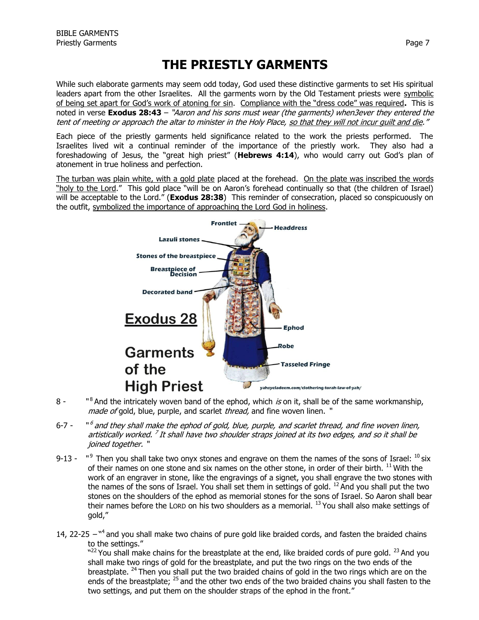# **THE PRIESTLY GARMENTS**

While such elaborate garments may seem odd today, God used these distinctive garments to set His spiritual leaders apart from the other Israelites. All the garments worn by the Old Testament priests were symbolic of being set apart for God's work of atoning for sin. Compliance with the "dress code" was required**.** This is noted in verse **Exodus 28:43** – "Aaron and his sons must wear (the garments) when3ever they entered the tent of meeting or approach the altar to minister in the Holy Place, so that they will not incur guilt and die."

Each piece of the priestly garments held significance related to the work the priests performed. The Israelites lived wit a continual reminder of the importance of the priestly work. They also had a foreshadowing of Jesus, the "great high priest" (**Hebrews 4:14**), who would carry out God's plan of atonement in true holiness and perfection.

The turban was plain white, with a gold plate placed at the forehead. On the plate was inscribed the words "holy to the Lord." This gold place "will be on Aaron's forehead continually so that (the children of Israel) will be acceptable to the Lord." (**Exodus 28:38**) This reminder of consecration, placed so conspicuously on the outfit, symbolized the importance of approaching the Lord God in holiness.



- $8 8$  And the intricately woven band of the ephod, which is on it, shall be of the same workmanship, made of gold, blue, purple, and scarlet *thread*, and fine woven linen. "
- $6 7 ^6$  and they shall make the ephod of gold, blue, purple, and scarlet thread, and fine woven linen, artistically worked. <sup>7</sup> It shall have two shoulder straps joined at its two edges, and so it shall be joined together. "
- $9 13 9$  Then you shall take two onyx stones and engrave on them the names of the sons of Israel:  $^{10}$  six of their names on one stone and six names on the other stone, in order of their birth. <sup>11</sup> With the work of an engraver in stone, like the engravings of a signet, you shall engrave the two stones with the names of the sons of Israel. You shall set them in settings of gold. <sup>12</sup> And you shall put the two stones on the shoulders of the ephod as memorial stones for the sons of Israel. So Aaron shall bear their names before the LORD on his two shoulders as a memorial. <sup>13</sup> You shall also make settings of gold,"
- 14, 22-25  $-$ <sup>n4</sup> and you shall make two chains of pure gold like braided cords, and fasten the braided chains to the settings."

 $^{\text{22}}$  You shall make chains for the breastplate at the end, like braided cords of pure gold.  $^{23}$  And you shall make two rings of gold for the breastplate, and put the two rings on the two ends of the breastplate.  $^{24}$  Then you shall put the two braided chains of gold in the two rings which are on the ends of the breastplate; <sup>25</sup> and the other two ends of the two braided chains you shall fasten to the two settings, and put them on the shoulder straps of the ephod in the front."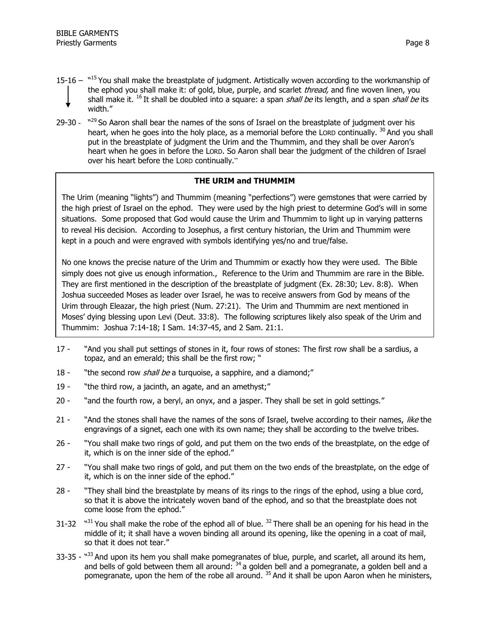- 15-16  $15$  You shall make the breastplate of judgment. Artistically woven according to the workmanship of the ephod you shall make it: of gold, blue, purple, and scarlet thread, and fine woven linen, you shall make it. <sup>16</sup> It shall be doubled into a square: a span *shall be* its length, and a span *shall be* its width."
- 29-30  $N^{29}$  So Aaron shall bear the names of the sons of Israel on the breastplate of judgment over his heart, when he goes into the holy place, as a memorial before the LORD continually. <sup>30</sup> And you shall put in the breastplate of judgment the Urim and the Thummim, and they shall be over Aaron's heart when he goes in before the LORD. So Aaron shall bear the judgment of the children of Israel over his heart before the LORD continually."

### **THE URIM and THUMMIM**

The Urim (meaning "lights") and Thummim (meaning "perfections") were gemstones that were carried by the high priest of Israel on the ephod. They were used by the high priest to determine God's will in some situations. Some proposed that God would cause the Urim and Thummim to light up in varying patterns to reveal His decision. According to Josephus, a first century historian, the Urim and Thummim were kept in a pouch and were engraved with symbols identifying yes/no and true/false.

No one knows the precise nature of the Urim and Thummim or exactly how they were used. The Bible simply does not give us enough information., Reference to the Urim and Thummim are rare in the Bible. They are first mentioned in the description of the breastplate of judgment (Ex. 28:30; Lev. 8:8). When Joshua succeeded Moses as leader over Israel, he was to receive answers from God by means of the Urim through Eleazar, the high priest (Num. 27:21). The Urim and Thummim are next mentioned in Moses' dying blessing upon Levi (Deut. 33:8). The following scriptures likely also speak of the Urim and Thummim: Joshua 7:14-18; I Sam. 14:37-45, and 2 Sam. 21:1.

- 17 "And you shall put settings of stones in it, four rows of stones: The first row shall be a sardius, a topaz, and an emerald; this shall be the first row; "
- 18 "the second row *shall be* a turquoise, a sapphire, and a diamond;"
- 19 "the third row, a jacinth, an agate, and an amethyst;"
- 20 "and the fourth row, a beryl, an onyx, and a jasper. They shall be set in gold settings."
- 21 "And the stones shall have the names of the sons of Israel, twelve according to their names, like the engravings of a signet, each one with its own name; they shall be according to the twelve tribes.
- 26 "You shall make two rings of gold, and put them on the two ends of the breastplate, on the edge of it, which is on the inner side of the ephod."
- 27 "You shall make two rings of gold, and put them on the two ends of the breastplate, on the edge of it, which is on the inner side of the ephod."
- 28 "They shall bind the breastplate by means of its rings to the rings of the ephod, using a blue cord, so that it is above the intricately woven band of the ephod, and so that the breastplate does not come loose from the ephod."
- $31 32$  $331$  You shall make the robe of the ephod all of blue.  $32$  There shall be an opening for his head in the middle of it; it shall have a woven binding all around its opening, like the opening in a coat of mail, so that it does not tear."
- 33-35 "<sup>33</sup> And upon its hem you shall make pomegranates of blue, purple, and scarlet, all around its hem, and bells of gold between them all around: <sup>34</sup> a golden bell and a pomegranate, a golden bell and a pomegranate, upon the hem of the robe all around.<sup>35</sup> And it shall be upon Aaron when he ministers,